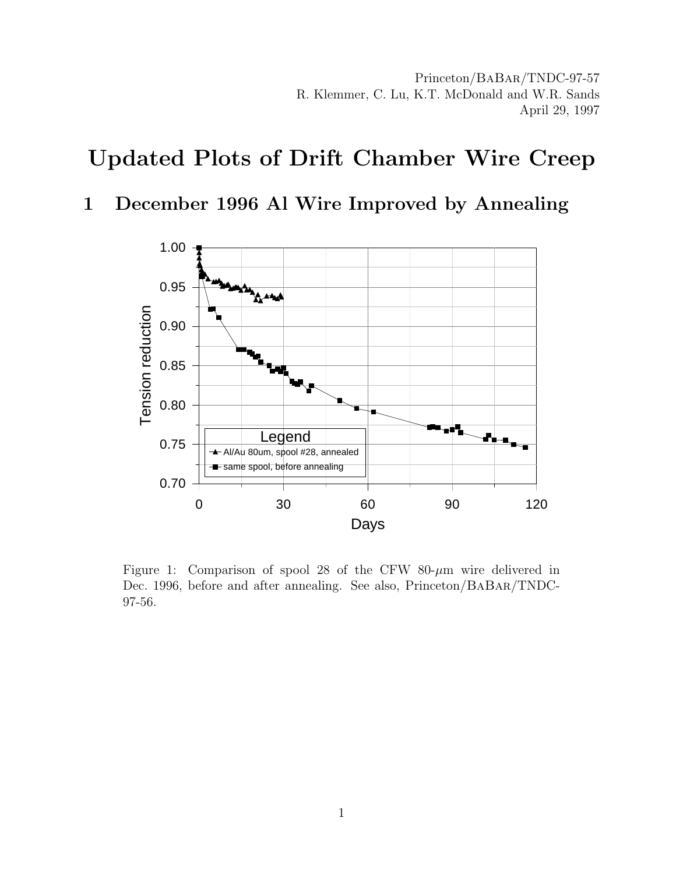## Updated Plots of Drift Chamber Wire Creep

## 1 December 1996 Al Wire Improved by Annealing



Figure 1: Comparison of spool 28 of the CFW 80- $\mu$ m wire delivered in Dec. 1996, before and after annealing. See also, Princeton/BaBar/TNDC-97-56.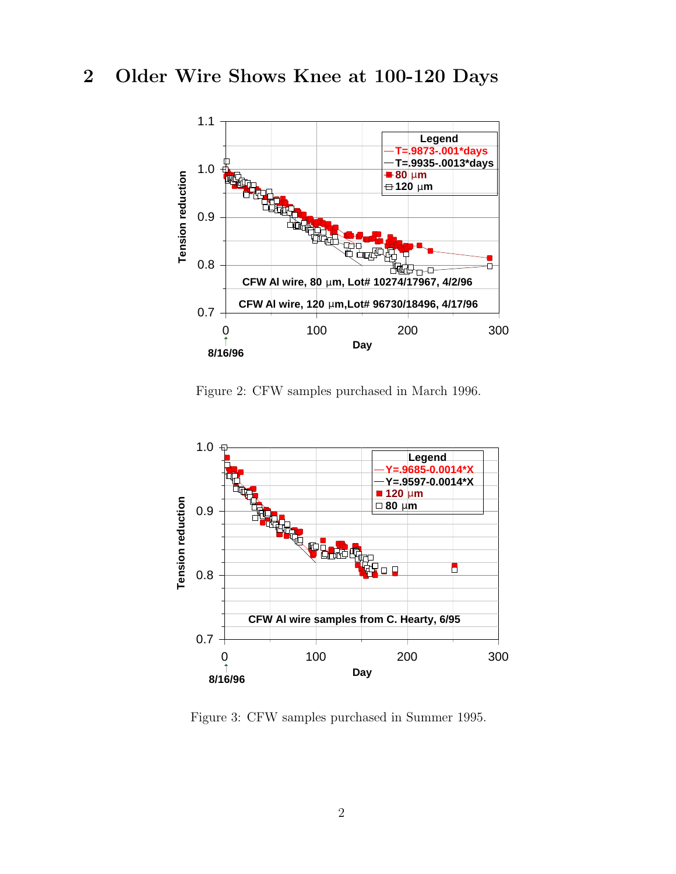## 2 Older Wire Shows Knee at 100-120 Days



Figure 2: CFW samples purchased in March 1996.



Figure 3: CFW samples purchased in Summer 1995.